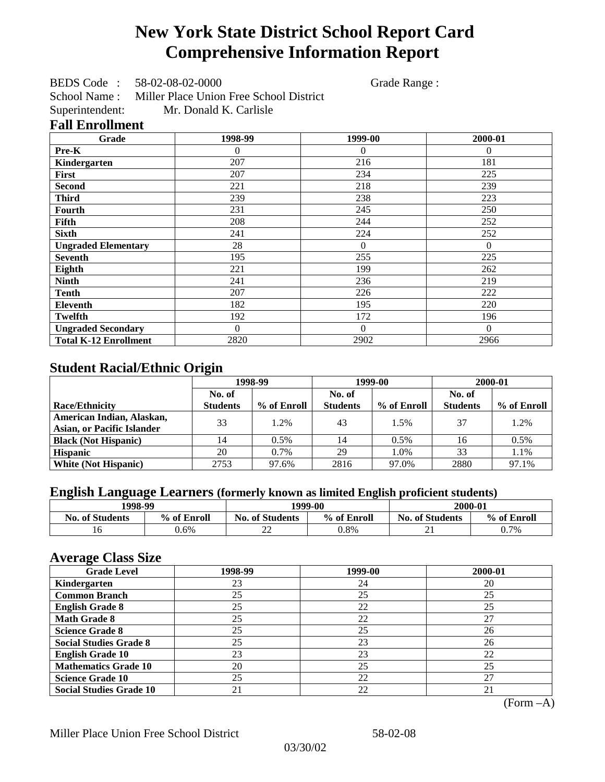# **New York State District School Report Card Comprehensive Information Report**

BEDS Code : 58-02-08-02-0000 Grade Range :

School Name : Miller Place Union Free School District Superintendent: Mr. Donald K. Carlisle

### **Fall Enrollment**

| Grade                        | 1998-99  | 1999-00  | 2000-01  |
|------------------------------|----------|----------|----------|
| Pre-K                        | 0        | $\Omega$ | $\Omega$ |
| Kindergarten                 | 207      | 216      | 181      |
| First                        | 207      | 234      | 225      |
| <b>Second</b>                | 221      | 218      | 239      |
| <b>Third</b>                 | 239      | 238      | 223      |
| Fourth                       | 231      | 245      | 250      |
| Fifth                        | 208      | 244      | 252      |
| <b>Sixth</b>                 | 241      | 224      | 252      |
| <b>Ungraded Elementary</b>   | 28       | $\theta$ | $\theta$ |
| <b>Seventh</b>               | 195      | 255      | 225      |
| Eighth                       | 221      | 199      | 262      |
| <b>Ninth</b>                 | 241      | 236      | 219      |
| <b>Tenth</b>                 | 207      | 226      | 222      |
| <b>Eleventh</b>              | 182      | 195      | 220      |
| <b>Twelfth</b>               | 192      | 172      | 196      |
| <b>Ungraded Secondary</b>    | $\Omega$ | $\Omega$ | $\Omega$ |
| <b>Total K-12 Enrollment</b> | 2820     | 2902     | 2966     |

## **Student Racial/Ethnic Origin**

|                                   | 1998-99         |             | 1999-00         |             | 2000-01         |             |
|-----------------------------------|-----------------|-------------|-----------------|-------------|-----------------|-------------|
|                                   | No. of          |             | No. of          |             | No. of          |             |
| <b>Race/Ethnicity</b>             | <b>Students</b> | % of Enroll | <b>Students</b> | % of Enroll | <b>Students</b> | % of Enroll |
| American Indian, Alaskan,         | 33              | 1.2%        | 43              | 1.5%        | 37              | 1.2%        |
| <b>Asian, or Pacific Islander</b> |                 |             |                 |             |                 |             |
| <b>Black (Not Hispanic)</b>       | 14              | 0.5%        | 14              | 0.5%        | 16              | 0.5%        |
| <b>Hispanic</b>                   | 20              | 0.7%        | 29              | 1.0%        | 33              | 1.1%        |
| <b>White (Not Hispanic)</b>       | 2753            | 97.6%       | 2816            | 97.0%       | 2880            | 97.1%       |

## **English Language Learners (formerly known as limited English proficient students)**

|                        | 1998-99<br>1999-00 |                                       | 2000-01 |                         |             |
|------------------------|--------------------|---------------------------------------|---------|-------------------------|-------------|
| <b>No. of Students</b> | % of Enroll        | <b>No. of Students</b><br>% of Enroll |         | <b>No. of Students</b>  | % of Enroll |
|                        | $0.6\%$            | n۵<br>∠∠                              | 0.8%    | $\mathbf{\hat{}}$<br>∠⊥ | 0.7%        |

### **Average Class Size**

| <b>Grade Level</b>             | 1998-99 | 1999-00 | 2000-01 |
|--------------------------------|---------|---------|---------|
| Kindergarten                   | 23      | 24      | 20      |
| <b>Common Branch</b>           | 25      | 25      | 25      |
| <b>English Grade 8</b>         | 25      | 22      | 25      |
| <b>Math Grade 8</b>            | 25      | 22      | 27      |
| <b>Science Grade 8</b>         | 25      | 25      | 26      |
| <b>Social Studies Grade 8</b>  | 25      | 23      | 26      |
| <b>English Grade 10</b>        | 23      | 23      | 22      |
| <b>Mathematics Grade 10</b>    | 20      | 25      | 25      |
| <b>Science Grade 10</b>        | 25      | 22      | 27      |
| <b>Social Studies Grade 10</b> | 21      | 22      | 21      |

(Form –A)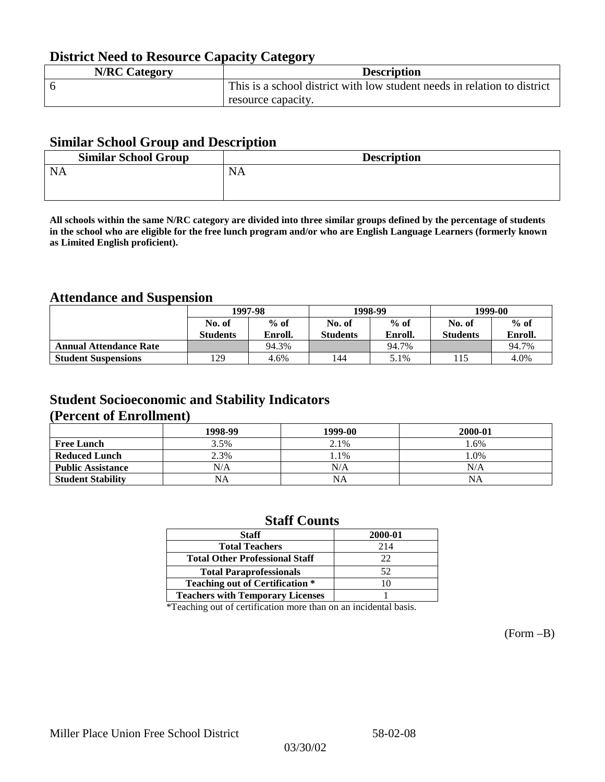## **District Need to Resource Capacity Category**

| <b>N/RC Category</b> | <b>Description</b>                                                       |
|----------------------|--------------------------------------------------------------------------|
|                      | This is a school district with low student needs in relation to district |
|                      | resource capacity.                                                       |

### **Similar School Group and Description**

| <b>Similar School Group</b> | <b>Description</b> |
|-----------------------------|--------------------|
| <b>NA</b>                   | NA                 |
|                             |                    |

**All schools within the same N/RC category are divided into three similar groups defined by the percentage of students in the school who are eligible for the free lunch program and/or who are English Language Learners (formerly known as Limited English proficient).**

## **Attendance and Suspension**

|                               | 1997-98         |         |                 | 1998-99 | 1999-00         |         |
|-------------------------------|-----------------|---------|-----------------|---------|-----------------|---------|
|                               | No. of          | $%$ of  | No. of          | $%$ of  | No. of          | $%$ of  |
|                               | <b>Students</b> | Enroll. | <b>Students</b> | Enroll. | <b>Students</b> | Enroll. |
| <b>Annual Attendance Rate</b> |                 | 94.3%   |                 | 94.7%   |                 | 94.7%   |
| <b>Student Suspensions</b>    | 29              | 4.6%    | 144             | 5.1%    |                 | 4.0%    |

### **Student Socioeconomic and Stability Indicators (Percent of Enrollment)**

|                          | 1998-99 | 1999-00   | 2000-01 |
|--------------------------|---------|-----------|---------|
| <b>Free Lunch</b>        | 3.5%    | 2.1%      | .6%     |
| <b>Reduced Lunch</b>     | 2.3%    | 1.1%      | $.0\%$  |
| <b>Public Assistance</b> | N/A     | N/A       | N/A     |
| <b>Student Stability</b> | NA      | <b>NA</b> | NA      |

### **Staff Counts**

| <b>Staff</b>                            | 2000-01 |
|-----------------------------------------|---------|
| <b>Total Teachers</b>                   | 214     |
| <b>Total Other Professional Staff</b>   | 22      |
| <b>Total Paraprofessionals</b>          | 52      |
| <b>Teaching out of Certification *</b>  |         |
| <b>Teachers with Temporary Licenses</b> |         |

\*Teaching out of certification more than on an incidental basis.

(Form –B)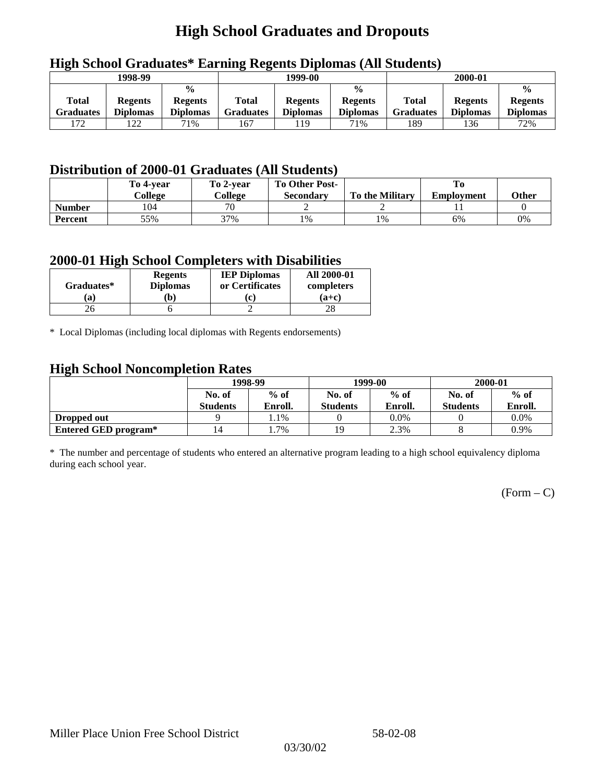# **High School Graduates and Dropouts**

|                           | 1998-99                           |                                                    | 1999-00                   |                                   |                                                    | 2000-01                          |                                   |                                                    |
|---------------------------|-----------------------------------|----------------------------------------------------|---------------------------|-----------------------------------|----------------------------------------------------|----------------------------------|-----------------------------------|----------------------------------------------------|
| Total<br><b>Graduates</b> | <b>Regents</b><br><b>Diplomas</b> | $\frac{6}{6}$<br><b>Regents</b><br><b>Diplomas</b> | Total<br><b>Graduates</b> | <b>Regents</b><br><b>Diplomas</b> | $\frac{0}{0}$<br><b>Regents</b><br><b>Diplomas</b> | <b>Total</b><br><b>Graduates</b> | <b>Regents</b><br><b>Diplomas</b> | $\frac{0}{0}$<br><b>Regents</b><br><b>Diplomas</b> |
| 172                       | 122                               | 71%                                                | 167                       | 119                               | 71%                                                | 189                              | 136                               | 72%                                                |

## **High School Graduates\* Earning Regents Diplomas (All Students)**

## **Distribution of 2000-01 Graduates (All Students)**

|                | To 4-vear<br>College | To 2-year<br>College | <b>To Other Post-</b> | <b>To the Military</b> |                   | Other |
|----------------|----------------------|----------------------|-----------------------|------------------------|-------------------|-------|
|                |                      |                      | <b>Secondary</b>      |                        | <b>Employment</b> |       |
| <b>Number</b>  | 104                  | 70                   |                       |                        |                   |       |
| <b>Percent</b> | 55%                  | 37%                  | 1%                    | 1%                     | 6%                | 0%    |

### **2000-01 High School Completers with Disabilities**

| Graduates* | <b>Regents</b><br><b>Diplomas</b> | <b>IEP Diplomas</b><br>or Certificates | <b>All 2000-01</b><br>completers |
|------------|-----------------------------------|----------------------------------------|----------------------------------|
| a          | b)                                | $\mathbf{r}$                           | $(a+c)$                          |
|            |                                   |                                        |                                  |

\* Local Diplomas (including local diplomas with Regents endorsements)

### **High School Noncompletion Rates**

| ັ                    | 1998-99         |         |                 | 1999-00 | 2000-01         |         |
|----------------------|-----------------|---------|-----------------|---------|-----------------|---------|
|                      | No. of          | $%$ of  | No. of          | $%$ of  | No. of          | $%$ of  |
|                      | <b>Students</b> | Enroll. | <b>Students</b> | Enroll. | <b>Students</b> | Enroll. |
| Dropped out          |                 | 1.1%    |                 | $0.0\%$ |                 | 0.0%    |
| Entered GED program* | 4ء              | . . 7%  |                 | 2.3%    |                 | 0.9%    |

\* The number and percentage of students who entered an alternative program leading to a high school equivalency diploma during each school year.

 $(Form - C)$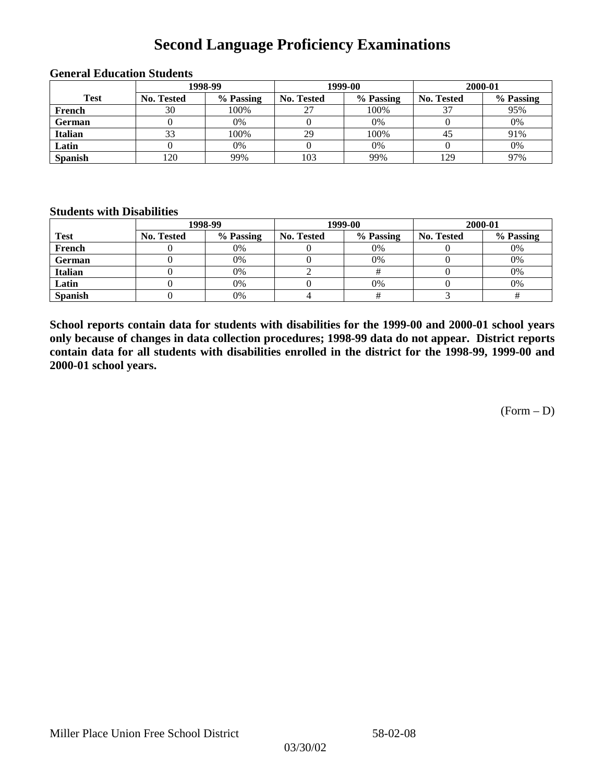# **Second Language Proficiency Examinations**

|                |            | 1998-99   |                   | 1999-00   | 2000-01           |           |  |
|----------------|------------|-----------|-------------------|-----------|-------------------|-----------|--|
| <b>Test</b>    | No. Tested | % Passing | <b>No. Tested</b> | % Passing | <b>No. Tested</b> | % Passing |  |
| French         | 30         | 100%      | 27                | 100%      |                   | 95%       |  |
| <b>German</b>  |            | 0%        |                   | 0%        |                   | 0%        |  |
| <b>Italian</b> | 33         | 100%      | 29                | 100%      | 43                | 91%       |  |
| Latin          |            | 0%        |                   | 0%        |                   | 0%        |  |
| <b>Spanish</b> | 120        | 99%       | 103               | 99%       | 129               | 97%       |  |

#### **General Education Students**

### **Students with Disabilities**

|                | 1998-99    |           |                   | 1999-00   | 2000-01           |           |  |
|----------------|------------|-----------|-------------------|-----------|-------------------|-----------|--|
| <b>Test</b>    | No. Tested | % Passing | <b>No. Tested</b> | % Passing | <b>No. Tested</b> | % Passing |  |
| French         |            | $0\%$     |                   | 0%        |                   | 0%        |  |
| German         |            | 0%        |                   | 0%        |                   | 0%        |  |
| Italian        |            | 0%        |                   |           |                   | 0%        |  |
| Latin          |            | 0%        |                   | 0%        |                   | 0%        |  |
| <b>Spanish</b> |            | 0%        |                   |           |                   |           |  |

**School reports contain data for students with disabilities for the 1999-00 and 2000-01 school years only because of changes in data collection procedures; 1998-99 data do not appear. District reports contain data for all students with disabilities enrolled in the district for the 1998-99, 1999-00 and 2000-01 school years.**

(Form – D)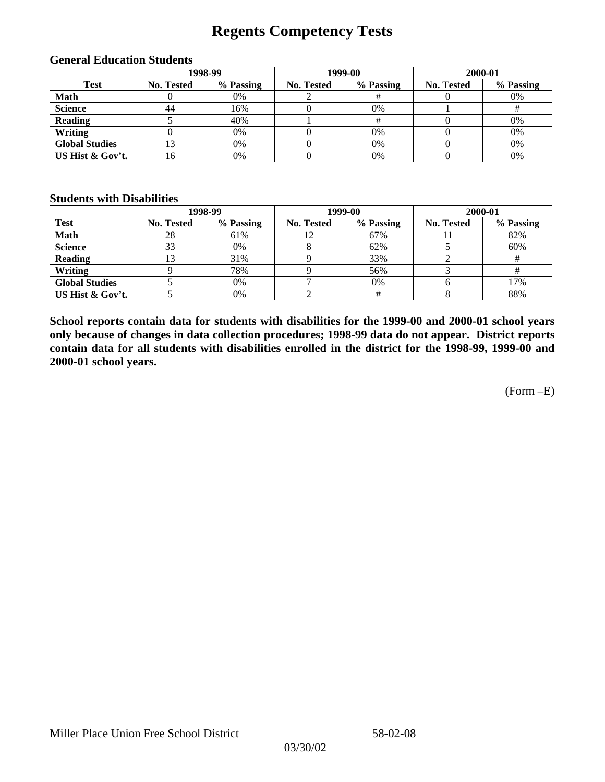## **Regents Competency Tests**

|                       |            | 1998-99   |            | 1999-00   | 2000-01           |           |
|-----------------------|------------|-----------|------------|-----------|-------------------|-----------|
| <b>Test</b>           | No. Tested | % Passing | No. Tested | % Passing | <b>No. Tested</b> | % Passing |
| <b>Math</b>           |            | 0%        |            |           |                   | 0%        |
| <b>Science</b>        | 44         | 16%       |            | 0%        |                   |           |
| <b>Reading</b>        |            | 40%       |            |           |                   | 0%        |
| Writing               |            | 0%        |            | 0%        |                   | 0%        |
| <b>Global Studies</b> |            | 0%        |            | 0%        |                   | 0%        |
| US Hist & Gov't.      | 16         | 0%        |            | 0%        |                   | 0%        |

#### **General Education Students**

#### **Students with Disabilities**

|                       |            | 1998-99   | 1999-00           |           | 2000-01           |           |
|-----------------------|------------|-----------|-------------------|-----------|-------------------|-----------|
| <b>Test</b>           | No. Tested | % Passing | <b>No. Tested</b> | % Passing | <b>No. Tested</b> | % Passing |
| <b>Math</b>           | 28         | 61%       |                   | 67%       |                   | 82%       |
| <b>Science</b>        | 33         | 0%        |                   | 62%       |                   | 60%       |
| <b>Reading</b>        | l3         | 31%       |                   | 33%       |                   |           |
| Writing               |            | 78%       |                   | 56%       |                   |           |
| <b>Global Studies</b> |            | 0%        |                   | 0%        |                   | 17%       |
| US Hist & Gov't.      |            | 0%        |                   |           |                   | 88%       |

**School reports contain data for students with disabilities for the 1999-00 and 2000-01 school years only because of changes in data collection procedures; 1998-99 data do not appear. District reports contain data for all students with disabilities enrolled in the district for the 1998-99, 1999-00 and 2000-01 school years.**

(Form –E)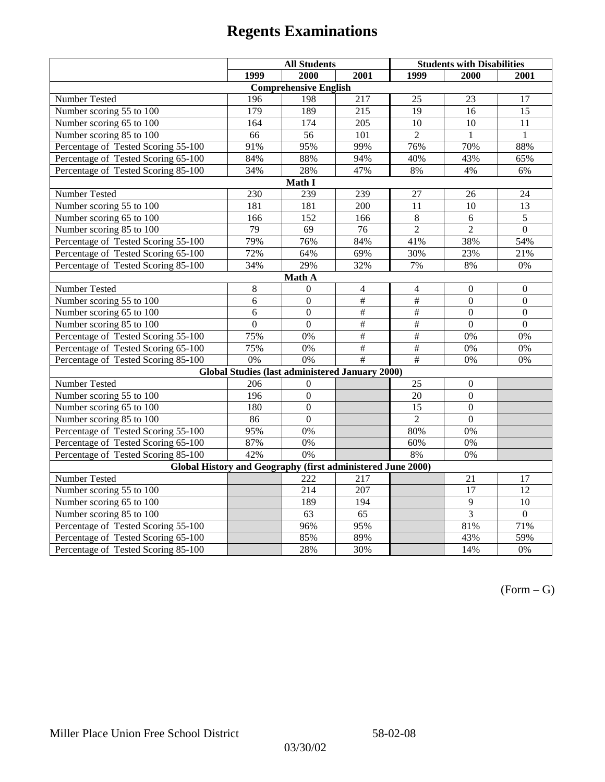|                                                             | <b>All Students</b> |                                                        |                 | <b>Students with Disabilities</b> |                  |                  |  |  |
|-------------------------------------------------------------|---------------------|--------------------------------------------------------|-----------------|-----------------------------------|------------------|------------------|--|--|
|                                                             | 1999                | 2000                                                   | 2001            | 1999                              | 2000             | 2001             |  |  |
|                                                             |                     | <b>Comprehensive English</b>                           |                 |                                   |                  |                  |  |  |
| Number Tested                                               | 196                 | 198                                                    | 217             | 25                                | 23               | 17               |  |  |
| Number scoring $55 \overline{\text{to } 100}$               | 179                 | 189                                                    | 215             | 19                                | 16               | $\overline{15}$  |  |  |
| Number scoring 65 to 100                                    | 164                 | 174                                                    | 205             | $\overline{10}$                   | $\overline{10}$  | $\overline{11}$  |  |  |
| Number scoring 85 to 100                                    | 66                  | 56                                                     | 101             | $\overline{2}$                    | 1                | $\mathbf{1}$     |  |  |
| Percentage of Tested Scoring 55-100                         | 91%                 | 95%                                                    | 99%             | 76%                               | 70%              | 88%              |  |  |
| Percentage of Tested Scoring 65-100                         | 84%                 | 88%                                                    | 94%             | 40%                               | 43%              | 65%              |  |  |
| Percentage of Tested Scoring 85-100                         | 34%                 | 28%                                                    | 47%             | 8%                                | 4%               | 6%               |  |  |
|                                                             |                     | Math I                                                 |                 |                                   |                  |                  |  |  |
| Number Tested                                               | 230                 | 239                                                    | 239             | 27                                | 26               | 24               |  |  |
| Number scoring 55 to 100                                    | 181                 | 181                                                    | 200             | 11                                | 10               | 13               |  |  |
| Number scoring 65 to 100                                    | 166                 | 152                                                    | 166             | $\,8\,$                           | 6                | $\overline{5}$   |  |  |
| Number scoring 85 to 100                                    | 79                  | 69                                                     | 76              | $\overline{2}$                    | $\overline{2}$   | $\overline{0}$   |  |  |
| Percentage of Tested Scoring 55-100                         | 79%                 | 76%                                                    | 84%             | 41%                               | 38%              | 54%              |  |  |
| Percentage of Tested Scoring 65-100                         | 72%                 | 64%                                                    | 69%             | 30%                               | 23%              | 21%              |  |  |
| Percentage of Tested Scoring 85-100                         | 34%                 | 29%                                                    | 32%             | 7%                                | $8\%$            | $0\%$            |  |  |
| Math A                                                      |                     |                                                        |                 |                                   |                  |                  |  |  |
| Number Tested                                               | 8                   | $\mathbf{0}$                                           | $\overline{4}$  | $\overline{4}$                    | $\boldsymbol{0}$ | $\boldsymbol{0}$ |  |  |
| Number scoring 55 to 100                                    | 6                   | $\boldsymbol{0}$                                       | $\overline{\#}$ | $\overline{+}$                    | $\overline{0}$   | $\boldsymbol{0}$ |  |  |
| Number scoring 65 to 100                                    | 6                   | $\mathbf{0}$                                           | $\overline{\#}$ | #                                 | $\mathbf{0}$     | $\boldsymbol{0}$ |  |  |
| Number scoring 85 to 100                                    | $\overline{0}$      | $\overline{0}$                                         | $\overline{\#}$ | $\frac{1}{2}$                     | $\mathbf{0}$     | $\mathbf{0}$     |  |  |
| Percentage of Tested Scoring 55-100                         | 75%                 | 0%                                                     | $\overline{\#}$ | $\overline{\#}$                   | 0%               | 0%               |  |  |
| Percentage of Tested Scoring 65-100                         | 75%                 | 0%                                                     | #               | #                                 | 0%               | 0%               |  |  |
| Percentage of Tested Scoring 85-100                         | 0%                  | 0%                                                     | $\overline{\#}$ | $\overline{\overline{t}}$         | 0%               | 0%               |  |  |
|                                                             |                     | <b>Global Studies (last administered January 2000)</b> |                 |                                   |                  |                  |  |  |
| Number Tested                                               | 206                 | $\mathbf{0}$                                           |                 | 25                                | $\boldsymbol{0}$ |                  |  |  |
| Number scoring 55 to 100                                    | 196                 | $\mathbf{0}$                                           |                 | 20                                | $\overline{0}$   |                  |  |  |
| Number scoring 65 to 100                                    | 180                 | $\overline{0}$                                         |                 | 15                                | $\overline{0}$   |                  |  |  |
| Number scoring 85 to 100                                    | 86                  | $\mathbf{0}$                                           |                 | $\overline{2}$                    | $\overline{0}$   |                  |  |  |
| Percentage of Tested Scoring 55-100                         | 95%                 | 0%                                                     |                 | 80%                               | 0%               |                  |  |  |
| Percentage of Tested Scoring 65-100                         | 87%                 | 0%                                                     |                 | 60%                               | 0%               |                  |  |  |
| Percentage of Tested Scoring 85-100                         | 42%                 | 0%                                                     |                 | 8%                                | 0%               |                  |  |  |
| Global History and Geography (first administered June 2000) |                     |                                                        |                 |                                   |                  |                  |  |  |
| Number Tested                                               |                     | 222                                                    | 217             |                                   | 21               | 17               |  |  |
| Number scoring 55 to 100                                    |                     | 214                                                    | 207             |                                   | 17               | 12               |  |  |
| Number scoring 65 to 100                                    |                     | 189                                                    | 194             |                                   | $\overline{9}$   | 10               |  |  |
| Number scoring 85 to 100                                    |                     | 63                                                     | 65              |                                   | 3                | $\overline{0}$   |  |  |
| Percentage of Tested Scoring 55-100                         |                     | 96%                                                    | 95%             |                                   | 81%              | 71%              |  |  |
| Percentage of Tested Scoring 65-100                         |                     | 85%                                                    | 89%             |                                   | 43%              | 59%              |  |  |
| Percentage of Tested Scoring 85-100                         |                     | 28%                                                    | 30%             |                                   | 14%              | 0%               |  |  |

 $(Form - G)$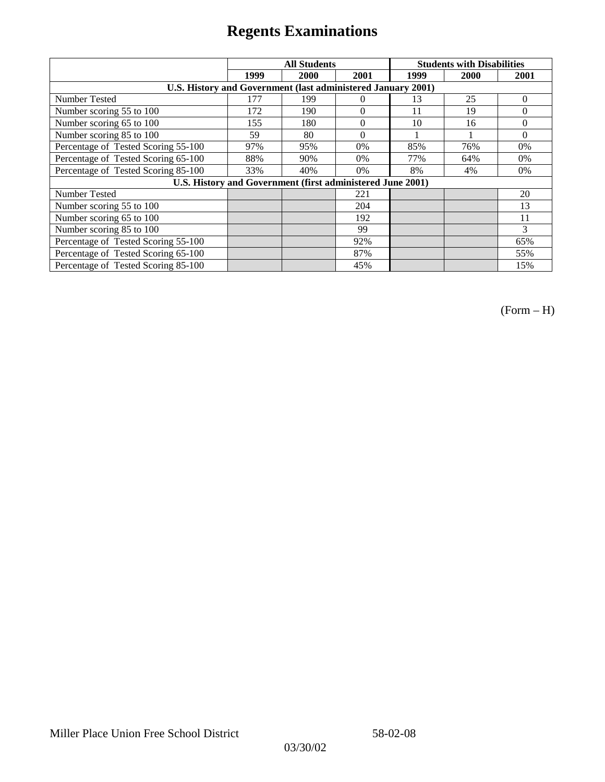|                                                              | <b>All Students</b> |      |                | <b>Students with Disabilities</b> |      |          |
|--------------------------------------------------------------|---------------------|------|----------------|-----------------------------------|------|----------|
|                                                              | 1999                | 2000 | 2001           | 1999                              | 2000 | 2001     |
| U.S. History and Government (last administered January 2001) |                     |      |                |                                   |      |          |
| Number Tested                                                | 177                 | 199  | $\Omega$       | 13                                | 25   | $\Omega$ |
| Number scoring 55 to 100                                     | 172                 | 190  | $\theta$       | 11                                | 19   | $\theta$ |
| Number scoring 65 to 100                                     | 155                 | 180  | $\overline{0}$ | 10                                | 16   | $\Omega$ |
| Number scoring 85 to 100                                     | 59                  | 80   | $\Omega$       |                                   |      | $\Omega$ |
| Percentage of Tested Scoring 55-100                          | 97%                 | 95%  | 0%             | 85%                               | 76%  | 0%       |
| Percentage of Tested Scoring 65-100                          | 88%                 | 90%  | 0%             | 77%                               | 64%  | $0\%$    |
| Percentage of Tested Scoring 85-100                          | 33%                 | 40%  | 0%             | 8%                                | 4%   | $0\%$    |
| U.S. History and Government (first administered June 2001)   |                     |      |                |                                   |      |          |
| Number Tested                                                |                     |      | 221            |                                   |      | 20       |
| Number scoring 55 to 100                                     |                     |      | 204            |                                   |      | 13       |
| Number scoring 65 to 100                                     |                     |      | 192            |                                   |      | 11       |
| Number scoring 85 to 100                                     |                     |      | 99             |                                   |      | 3        |
| Percentage of Tested Scoring 55-100                          |                     |      | 92%            |                                   |      | 65%      |
| Percentage of Tested Scoring 65-100                          |                     |      | 87%            |                                   |      | 55%      |
| Percentage of Tested Scoring 85-100                          |                     |      | 45%            |                                   |      | 15%      |

(Form – H)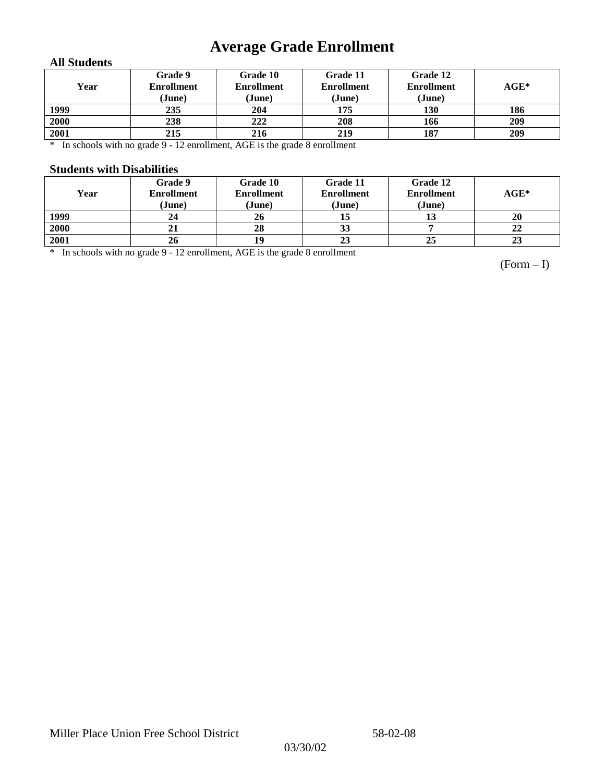# **Average Grade Enrollment**

### **All Students**

| Year | Grade 9<br><b>Enrollment</b><br>(June) | Grade 10<br><b>Enrollment</b><br>(June) | Grade 11<br><b>Enrollment</b><br>(June) | Grade 12<br><b>Enrollment</b><br>(June) | $\mathbf{AGE}^*$ |
|------|----------------------------------------|-----------------------------------------|-----------------------------------------|-----------------------------------------|------------------|
| 1999 | 235                                    | 204                                     | 175                                     | 130                                     | 186              |
| 2000 | 238                                    | 222                                     | 208                                     | 166                                     | 209              |
| 2001 | 215                                    | 216                                     | 219                                     | 187                                     | 209              |

\* In schools with no grade 9 - 12 enrollment, AGE is the grade 8 enrollment

### **Students with Disabilities**

| Year | Grade 9<br><b>Enrollment</b><br>(June) | Grade 10<br><b>Enrollment</b><br>(June) | Grade 11<br><b>Enrollment</b><br>(June) | Grade 12<br><b>Enrollment</b><br>(June) | $AGE^*$ |
|------|----------------------------------------|-----------------------------------------|-----------------------------------------|-----------------------------------------|---------|
| 1999 | 24                                     | 26                                      |                                         | 19                                      | 20      |
| 2000 | 21                                     | 28                                      | 33                                      |                                         | 22      |
| 2001 | 26                                     |                                         | 23                                      | 25                                      | 23      |

\* In schools with no grade 9 - 12 enrollment, AGE is the grade 8 enrollment

(Form – I)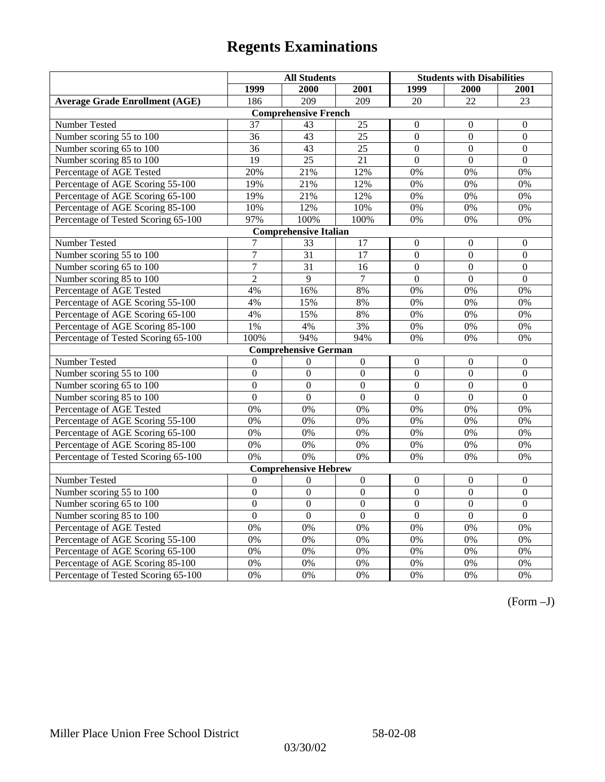|                                       | <b>All Students</b> |                              |                  | <b>Students with Disabilities</b> |                  |                  |
|---------------------------------------|---------------------|------------------------------|------------------|-----------------------------------|------------------|------------------|
|                                       | 1999                | 2000                         | 2001             | 1999                              | 2000             | 2001             |
| <b>Average Grade Enrollment (AGE)</b> | 186                 | 209                          | 209              | 20                                | 22               | 23               |
|                                       |                     | <b>Comprehensive French</b>  |                  |                                   |                  |                  |
| Number Tested                         | 37                  | 43                           | 25               | $\overline{0}$                    | $\mathbf{0}$     | $\mathbf{0}$     |
| Number scoring 55 to 100              | 36                  | 43                           | $\overline{25}$  | $\overline{0}$                    | $\mathbf{0}$     | $\mathbf{0}$     |
| Number scoring 65 to 100              | 36                  | 43                           | 25               | $\overline{0}$                    | $\mathbf{0}$     | $\mathbf{0}$     |
| Number scoring 85 to 100              | 19                  | 25                           | 21               | $\overline{0}$                    | $\mathbf{0}$     | $\mathbf{0}$     |
| Percentage of AGE Tested              | 20%                 | 21%                          | 12%              | 0%                                | 0%               | 0%               |
| Percentage of AGE Scoring 55-100      | 19%                 | 21%                          | 12%              | 0%                                | 0%               | 0%               |
| Percentage of AGE Scoring 65-100      | 19%                 | 21%                          | 12%              | 0%                                | 0%               | 0%               |
| Percentage of AGE Scoring 85-100      | 10%                 | 12%                          | 10%              | $0\%$                             | $0\%$            | $0\%$            |
| Percentage of Tested Scoring 65-100   | 97%                 | 100%                         | 100%             | 0%                                | 0%               | 0%               |
|                                       |                     | <b>Comprehensive Italian</b> |                  |                                   |                  |                  |
| Number Tested                         | 7                   | 33                           | 17               | $\overline{0}$                    | $\mathbf{0}$     | $\theta$         |
| Number scoring 55 to 100              | $\overline{7}$      | $\overline{31}$              | 17               | $\overline{0}$                    | $\boldsymbol{0}$ | $\boldsymbol{0}$ |
| Number scoring 65 to 100              | $\overline{7}$      | $\overline{31}$              | 16               | $\overline{0}$                    | $\overline{0}$   | $\mathbf{0}$     |
| Number scoring 85 to 100              | $\overline{2}$      | 9                            | $\overline{7}$   | $\overline{0}$                    | $\mathbf{0}$     | $\mathbf{0}$     |
| Percentage of AGE Tested              | 4%                  | 16%                          | 8%               | 0%                                | 0%               | 0%               |
| Percentage of AGE Scoring 55-100      | 4%                  | 15%                          | 8%               | 0%                                | 0%               | 0%               |
| Percentage of AGE Scoring 65-100      | 4%                  | 15%                          | 8%               | 0%                                | 0%               | 0%               |
| Percentage of AGE Scoring 85-100      | 1%                  | 4%                           | 3%               | 0%                                | 0%               | 0%               |
| Percentage of Tested Scoring 65-100   | 100%                | 94%                          | 94%              | 0%                                | 0%               | 0%               |
|                                       |                     | <b>Comprehensive German</b>  |                  |                                   |                  |                  |
| Number Tested                         | $\boldsymbol{0}$    | $\theta$                     | $\boldsymbol{0}$ | $\mathbf{0}$                      | $\mathbf{0}$     | $\boldsymbol{0}$ |
| Number scoring 55 to 100              | $\mathbf{0}$        | $\mathbf{0}$                 | $\overline{0}$   | $\overline{0}$                    | $\overline{0}$   | $\mathbf{0}$     |
| Number scoring 65 to 100              | $\overline{0}$      | $\mathbf{0}$                 | $\overline{0}$   | $\overline{0}$                    | $\mathbf{0}$     | $\boldsymbol{0}$ |
| Number scoring 85 to 100              | $\overline{0}$      | $\overline{0}$               | $\overline{0}$   | $\overline{0}$                    | $\overline{0}$   | $\overline{0}$   |
| Percentage of AGE Tested              | 0%                  | 0%                           | 0%               | 0%                                | 0%               | 0%               |
| Percentage of AGE Scoring 55-100      | 0%                  | 0%                           | 0%               | $0\%$                             | 0%               | 0%               |
| Percentage of AGE Scoring 65-100      | 0%                  | 0%                           | 0%               | 0%                                | 0%               | 0%               |
| Percentage of AGE Scoring 85-100      | 0%                  | 0%                           | 0%               | 0%                                | 0%               | 0%               |
| Percentage of Tested Scoring 65-100   | 0%                  | 0%                           | 0%               | 0%                                | 0%               | 0%               |
|                                       |                     | <b>Comprehensive Hebrew</b>  |                  |                                   |                  |                  |
| <b>Number Tested</b>                  | $\mathbf{0}$        | $\mathbf{0}$                 | $\overline{0}$   | $\overline{0}$                    | $\mathbf{0}$     | $\mathbf{0}$     |
| Number scoring 55 to 100              | $\boldsymbol{0}$    | $\boldsymbol{0}$             | $\overline{0}$   | $\mathbf{0}$                      | $\mathbf{0}$     | $\boldsymbol{0}$ |
| Number scoring 65 to 100              | $\boldsymbol{0}$    | $\mathbf{0}$                 | $\overline{0}$   | $\overline{0}$                    | $\mathbf{0}$     | $\mathbf{0}$     |
| Number scoring 85 to 100              | $\mathbf{0}$        | $\mathbf{0}$                 | $\overline{0}$   | $\mathbf{0}$                      | $\mathbf{0}$     | $\mathbf{0}$     |
| Percentage of AGE Tested              | 0%                  | 0%                           | 0%               | 0%                                | 0%               | 0%               |
| Percentage of AGE Scoring 55-100      | 0%                  | 0%                           | 0%               | 0%                                | 0%               | 0%               |
| Percentage of AGE Scoring 65-100      | 0%                  | 0%                           | 0%               | 0%                                | 0%               | 0%               |
| Percentage of AGE Scoring 85-100      | 0%                  | 0%                           | 0%               | $0\%$                             | 0%               | 0%               |
| Percentage of Tested Scoring 65-100   | 0%                  | 0%                           | 0%               | 0%                                | 0%               | 0%               |

(Form –J)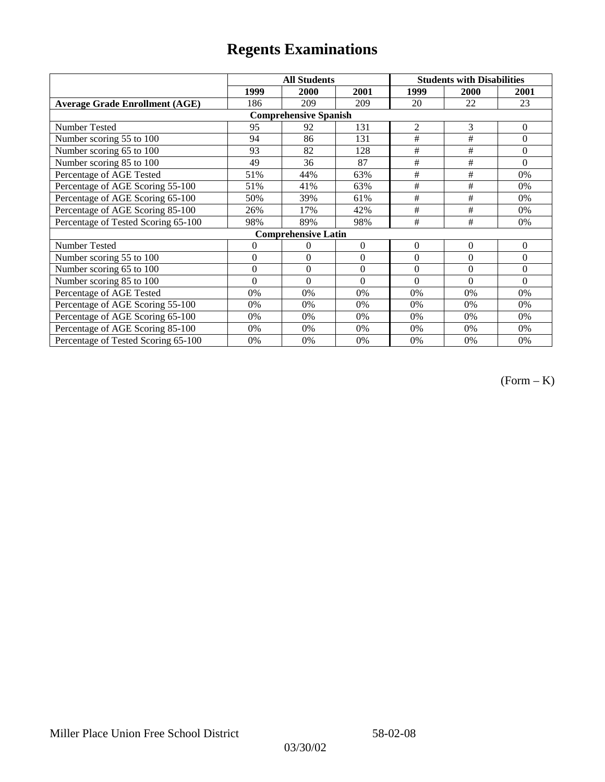|                                       |                | <b>All Students</b>        |          | <b>Students with Disabilities</b> |             |                |  |  |
|---------------------------------------|----------------|----------------------------|----------|-----------------------------------|-------------|----------------|--|--|
|                                       | 1999           | 2000                       | 2001     | 1999                              | <b>2000</b> | 2001           |  |  |
| <b>Average Grade Enrollment (AGE)</b> | 186            | 209                        | 209      | 20                                | 22          | 23             |  |  |
| <b>Comprehensive Spanish</b>          |                |                            |          |                                   |             |                |  |  |
| Number Tested                         | 95             | 92                         | 131      | $\overline{2}$                    | 3           | $\mathbf{0}$   |  |  |
| Number scoring 55 to 100              | 94             | 86                         | 131      | #                                 | #           | $\theta$       |  |  |
| Number scoring 65 to 100              | 93             | 82                         | 128      | $\#$                              | $\#$        | $\mathbf{0}$   |  |  |
| Number scoring 85 to 100              | 49             | 36                         | 87       | #                                 | #           | $\Omega$       |  |  |
| Percentage of AGE Tested              | 51%            | 44%                        | 63%      | #                                 | #           | $0\%$          |  |  |
| Percentage of AGE Scoring 55-100      | 51%            | 41%                        | 63%      | $\#$                              | $\#$        | 0%             |  |  |
| Percentage of AGE Scoring 65-100      | 50%            | 39%                        | 61%      | #                                 | #           | 0%             |  |  |
| Percentage of AGE Scoring 85-100      | 26%            | 17%                        | 42%      | #                                 | #           | 0%             |  |  |
| Percentage of Tested Scoring 65-100   | 98%            | 89%                        | 98%      | #                                 | #           | 0%             |  |  |
|                                       |                | <b>Comprehensive Latin</b> |          |                                   |             |                |  |  |
| Number Tested                         | $\overline{0}$ | $\theta$                   | $\Omega$ | $\theta$                          | $\theta$    | $\overline{0}$ |  |  |
| Number scoring 55 to 100              | $\mathbf{0}$   | $\mathbf{0}$               | $\theta$ | $\theta$                          | $\theta$    | $\mathbf{0}$   |  |  |
| Number scoring 65 to 100              | $\mathbf{0}$   | $\mathbf{0}$               | $\Omega$ | $\theta$                          | $\theta$    | $\Omega$       |  |  |
| Number scoring 85 to 100              | $\theta$       | $\theta$                   | $\Omega$ | $\theta$                          | $\Omega$    | $\Omega$       |  |  |
| Percentage of AGE Tested              | 0%             | 0%                         | 0%       | 0%                                | 0%          | 0%             |  |  |
| Percentage of AGE Scoring 55-100      | 0%             | 0%                         | 0%       | 0%                                | 0%          | 0%             |  |  |
| Percentage of AGE Scoring 65-100      | 0%             | 0%                         | 0%       | 0%                                | 0%          | 0%             |  |  |
| Percentage of AGE Scoring 85-100      | 0%             | 0%                         | 0%       | 0%                                | $0\%$       | $0\%$          |  |  |
| Percentage of Tested Scoring 65-100   | 0%             | 0%                         | 0%       | 0%                                | $0\%$       | $0\%$          |  |  |

(Form – K)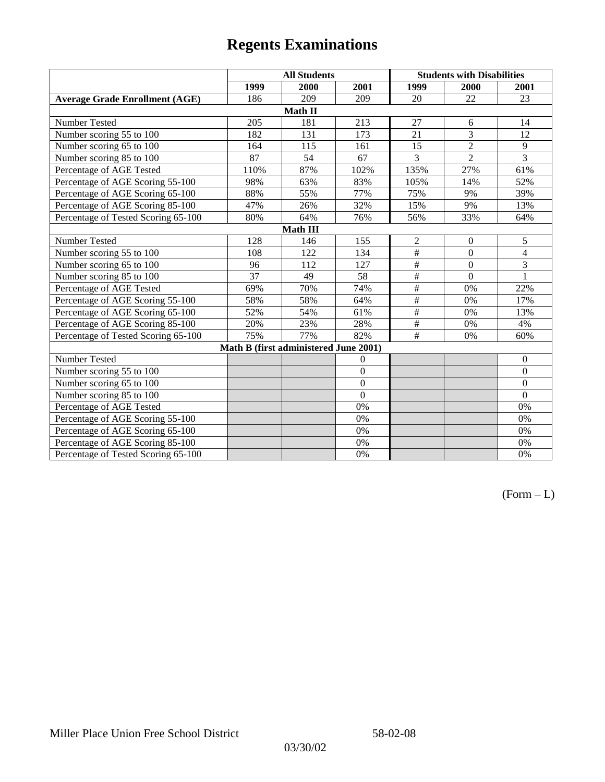|                                       | <b>All Students</b> |                                       |                | <b>Students with Disabilities</b> |                |                 |  |  |
|---------------------------------------|---------------------|---------------------------------------|----------------|-----------------------------------|----------------|-----------------|--|--|
|                                       | 1999                | 2000                                  | 2001           | 1999                              | 2000           | 2001            |  |  |
| <b>Average Grade Enrollment (AGE)</b> | 186                 | 209                                   | 209            | 20                                | 22             | 23              |  |  |
|                                       |                     | Math II                               |                |                                   |                |                 |  |  |
| Number Tested                         | 205                 | 181                                   | 213            | 27                                | 6              | 14              |  |  |
| Number scoring 55 to 100              | 182                 | 131                                   | 173            | 21                                | $\overline{3}$ | $\overline{12}$ |  |  |
| Number scoring 65 to 100              | 164                 | 115                                   | 161            | 15                                | $\overline{2}$ | 9               |  |  |
| Number scoring 85 to 100              | 87                  | 54                                    | 67             | 3                                 | $\overline{2}$ | $\overline{3}$  |  |  |
| Percentage of AGE Tested              | 110%                | 87%                                   | 102%           | 135%                              | 27%            | 61%             |  |  |
| Percentage of AGE Scoring 55-100      | 98%                 | 63%                                   | 83%            | 105%                              | 14%            | 52%             |  |  |
| Percentage of AGE Scoring 65-100      | 88%                 | 55%                                   | 77%            | 75%                               | 9%             | 39%             |  |  |
| Percentage of AGE Scoring 85-100      | 47%                 | 26%                                   | 32%            | 15%                               | 9%             | 13%             |  |  |
| Percentage of Tested Scoring 65-100   | 80%                 | 64%                                   | 76%            | 56%                               | 33%            | 64%             |  |  |
| <b>Math III</b>                       |                     |                                       |                |                                   |                |                 |  |  |
| Number Tested                         | 128                 | 146                                   | 155            | $\overline{2}$                    | $\overline{0}$ | 5               |  |  |
| Number scoring 55 to 100              | 108                 | 122                                   | 134            | #                                 | $\overline{0}$ | $\overline{4}$  |  |  |
| Number scoring 65 to 100              | 96                  | 112                                   | 127            | $\frac{1}{2}$                     | $\theta$       | 3               |  |  |
| Number scoring 85 to 100              | $\overline{37}$     | 49                                    | 58             | $\#$                              | $\Omega$       | 1               |  |  |
| Percentage of AGE Tested              | 69%                 | 70%                                   | 74%            | $\frac{1}{2}$                     | 0%             | 22%             |  |  |
| Percentage of AGE Scoring 55-100      | 58%                 | 58%                                   | 64%            | $\overline{\#}$                   | 0%             | 17%             |  |  |
| Percentage of AGE Scoring 65-100      | 52%                 | 54%                                   | 61%            | $\frac{1}{2}$                     | 0%             | 13%             |  |  |
| Percentage of AGE Scoring 85-100      | 20%                 | 23%                                   | 28%            | $\#$                              | 0%             | 4%              |  |  |
| Percentage of Tested Scoring 65-100   | 75%                 | 77%                                   | 82%            | #                                 | 0%             | 60%             |  |  |
|                                       |                     | Math B (first administered June 2001) |                |                                   |                |                 |  |  |
| Number Tested                         |                     |                                       | $\overline{0}$ |                                   |                | $\theta$        |  |  |
| Number scoring 55 to 100              |                     |                                       | $\overline{0}$ |                                   |                | $\theta$        |  |  |
| Number scoring 65 to 100              |                     |                                       | $\overline{0}$ |                                   |                | $\mathbf{0}$    |  |  |
| Number scoring 85 to 100              |                     |                                       | $\theta$       |                                   |                | $\mathbf{0}$    |  |  |
| Percentage of AGE Tested              |                     |                                       | 0%             |                                   |                | 0%              |  |  |
| Percentage of AGE Scoring 55-100      |                     |                                       | 0%             |                                   |                | 0%              |  |  |
| Percentage of AGE Scoring 65-100      |                     |                                       | 0%             |                                   |                | 0%              |  |  |
| Percentage of AGE Scoring 85-100      |                     |                                       | 0%             |                                   |                | 0%              |  |  |
| Percentage of Tested Scoring 65-100   |                     |                                       | 0%             |                                   |                | 0%              |  |  |

 $(Form - L)$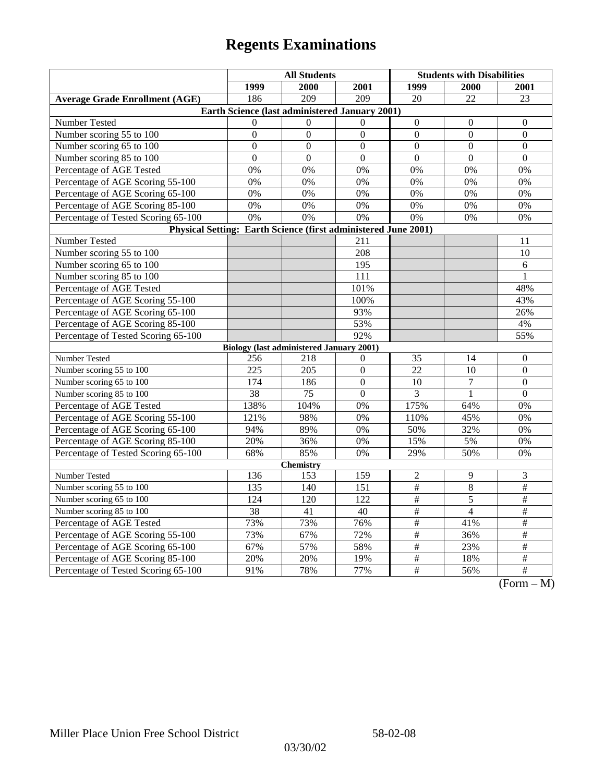|                                                                | <b>All Students</b> |                                                 |                  | <b>Students with Disabilities</b> |                 |                                                       |  |  |
|----------------------------------------------------------------|---------------------|-------------------------------------------------|------------------|-----------------------------------|-----------------|-------------------------------------------------------|--|--|
|                                                                | 1999                | 2000                                            | 2001             | 1999                              | 2000            | 2001                                                  |  |  |
| <b>Average Grade Enrollment (AGE)</b>                          | 186                 | $\overline{209}$                                | 209              | 20                                | $\overline{22}$ | 23                                                    |  |  |
| Earth Science (last administered January 2001)                 |                     |                                                 |                  |                                   |                 |                                                       |  |  |
| Number Tested                                                  | $\Omega$            | $\Omega$                                        | $\mathbf{0}$     | $\mathbf{0}$                      | $\theta$        | $\theta$                                              |  |  |
| Number scoring 55 to 100                                       | $\boldsymbol{0}$    | $\boldsymbol{0}$                                | $\mathbf{0}$     | $\mathbf{0}$                      | $\overline{0}$  | $\mathbf{0}$                                          |  |  |
| Number scoring 65 to 100                                       | $\Omega$            | $\theta$                                        | $\Omega$         | $\Omega$                          | $\theta$        | $\boldsymbol{0}$                                      |  |  |
| Number scoring 85 to 100                                       | $\overline{0}$      | $\overline{0}$                                  | $\overline{0}$   | $\overline{0}$                    | $\overline{0}$  | $\overline{0}$                                        |  |  |
| Percentage of AGE Tested                                       | 0%                  | 0%                                              | 0%               | 0%                                | 0%              | 0%                                                    |  |  |
| Percentage of AGE Scoring 55-100                               | 0%                  | 0%                                              | 0%               | 0%                                | 0%              | 0%                                                    |  |  |
| Percentage of AGE Scoring 65-100                               | 0%                  | 0%                                              | 0%               | 0%                                | 0%              | 0%                                                    |  |  |
| Percentage of AGE Scoring 85-100                               | 0%                  | 0%                                              | 0%               | 0%                                | 0%              | 0%                                                    |  |  |
| Percentage of Tested Scoring 65-100                            | 0%                  | 0%                                              | 0%               | $\overline{0\%}$                  | 0%              | 0%                                                    |  |  |
| Physical Setting: Earth Science (first administered June 2001) |                     |                                                 |                  |                                   |                 |                                                       |  |  |
| Number Tested                                                  |                     |                                                 | 211              |                                   |                 | 11                                                    |  |  |
| Number scoring 55 to 100                                       |                     |                                                 | 208              |                                   |                 | 10                                                    |  |  |
| Number scoring 65 to 100                                       |                     |                                                 | 195              |                                   |                 | 6                                                     |  |  |
| Number scoring 85 to 100                                       |                     |                                                 | 111              |                                   |                 | 1                                                     |  |  |
| Percentage of AGE Tested                                       |                     |                                                 | 101%             |                                   |                 | 48%                                                   |  |  |
| Percentage of AGE Scoring 55-100                               |                     |                                                 | 100%             |                                   |                 | 43%                                                   |  |  |
| Percentage of AGE Scoring 65-100                               |                     |                                                 | 93%              |                                   |                 | 26%                                                   |  |  |
| Percentage of AGE Scoring 85-100                               |                     |                                                 | 53%              |                                   |                 | 4%                                                    |  |  |
| Percentage of Tested Scoring 65-100                            |                     |                                                 | 92%              |                                   |                 | 55%                                                   |  |  |
|                                                                |                     | <b>Biology (last administered January 2001)</b> |                  |                                   |                 |                                                       |  |  |
| Number Tested                                                  | 256                 | 218                                             | $\theta$         | 35                                | 14              | $\boldsymbol{0}$                                      |  |  |
| Number scoring 55 to 100                                       | 225                 | 205                                             | $\boldsymbol{0}$ | $\overline{22}$                   | 10              | $\overline{0}$                                        |  |  |
| Number scoring 65 to 100                                       | 174                 | 186                                             | $\overline{0}$   | 10                                | 7               | $\boldsymbol{0}$                                      |  |  |
| Number scoring 85 to 100                                       | 38                  | 75                                              | $\overline{0}$   | 3                                 | $\mathbf{1}$    | $\overline{0}$                                        |  |  |
| Percentage of AGE Tested                                       | 138%                | 104%                                            | 0%               | 175%                              | 64%             | 0%                                                    |  |  |
| Percentage of AGE Scoring 55-100                               | 121%                | 98%                                             | 0%               | 110%                              | 45%             | 0%                                                    |  |  |
| Percentage of AGE Scoring 65-100                               | 94%                 | 89%                                             | 0%               | 50%                               | 32%             | 0%                                                    |  |  |
| Percentage of AGE Scoring 85-100                               | 20%                 | 36%                                             | 0%               | 15%                               | 5%              | 0%                                                    |  |  |
| Percentage of Tested Scoring 65-100                            | 68%                 | 85%                                             | 0%               | 29%                               | 50%             | 0%                                                    |  |  |
| <b>Chemistry</b>                                               |                     |                                                 |                  |                                   |                 |                                                       |  |  |
| Number Tested                                                  | 136                 | 153                                             | 159              | $\overline{c}$                    | 9               | 3                                                     |  |  |
| Number scoring 55 to 100                                       | 135                 | 140                                             | 151              | $\overline{\#}$                   | 8               | $\overline{+}$                                        |  |  |
| Number scoring 65 to 100                                       | 124                 | 120                                             | $12\overline{2}$ | $\overline{\#}$                   | 5               | $\#$                                                  |  |  |
| Number scoring 85 to 100                                       | 38                  | 41                                              | 40               | $\#$                              | $\overline{4}$  | $\overline{\#}$                                       |  |  |
| Percentage of AGE Tested                                       | 73%                 | 73%                                             | 76%              | $\frac{1}{2}$                     | 41%             | $\frac{1}{2}$                                         |  |  |
| Percentage of AGE Scoring 55-100                               | 73%                 | 67%                                             | 72%              | $\#$                              | 36%             | $\overline{\ddot{}}$                                  |  |  |
| Percentage of AGE Scoring 65-100                               | 67%                 | 57%                                             | 58%              | $\#$                              | 23%             | $\#$                                                  |  |  |
| Percentage of AGE Scoring 85-100                               | 20%                 | 20%                                             | 19%              | $\#$                              | 18%             | $\#$                                                  |  |  |
| Percentage of Tested Scoring 65-100                            | 91%                 | 78%                                             | 77%              | $\overline{\#}$                   | 56%             | $\overline{\#}$<br>$(T_{\text{max}})$<br>$\mathbf{A}$ |  |  |

(Form – M)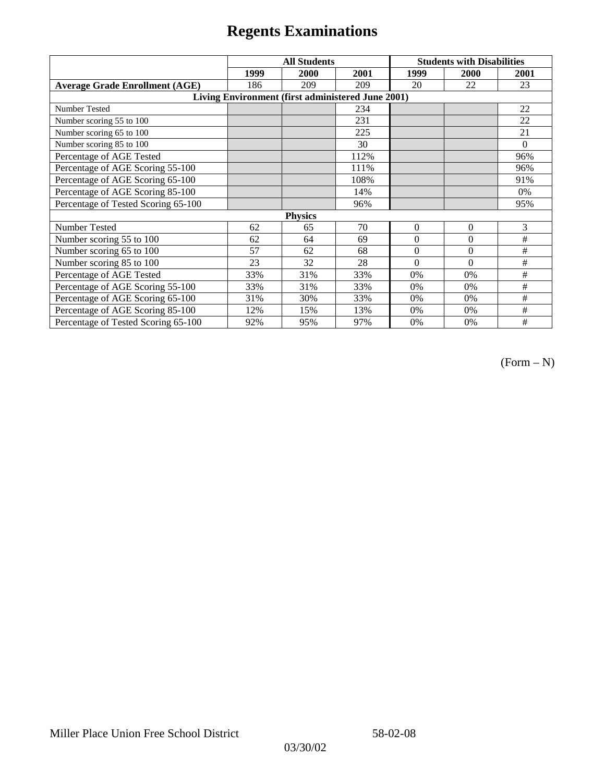|                                                   | <b>All Students</b> |      |      | <b>Students with Disabilities</b> |          |          |  |  |
|---------------------------------------------------|---------------------|------|------|-----------------------------------|----------|----------|--|--|
|                                                   | 1999                | 2000 | 2001 | 1999                              | 2000     | 2001     |  |  |
| <b>Average Grade Enrollment (AGE)</b>             | 186                 | 209  | 209  | 20                                | 22       | 23       |  |  |
| Living Environment (first administered June 2001) |                     |      |      |                                   |          |          |  |  |
| <b>Number Tested</b>                              |                     |      | 234  |                                   |          | 22       |  |  |
| Number scoring 55 to 100                          |                     |      | 231  |                                   |          | 22       |  |  |
| Number scoring 65 to 100                          |                     |      | 225  |                                   |          | 21       |  |  |
| Number scoring 85 to 100                          |                     |      | 30   |                                   |          | $\Omega$ |  |  |
| Percentage of AGE Tested                          |                     |      | 112% |                                   |          | 96%      |  |  |
| Percentage of AGE Scoring 55-100                  |                     |      | 111% |                                   |          | 96%      |  |  |
| Percentage of AGE Scoring 65-100                  |                     |      | 108% |                                   |          | 91%      |  |  |
| Percentage of AGE Scoring 85-100                  |                     |      | 14%  |                                   |          | 0%       |  |  |
| Percentage of Tested Scoring 65-100               |                     |      | 96%  |                                   |          | 95%      |  |  |
| <b>Physics</b>                                    |                     |      |      |                                   |          |          |  |  |
| Number Tested                                     | 62                  | 65   | 70   | $\Omega$                          | $\theta$ | 3        |  |  |
| Number scoring 55 to 100                          | 62                  | 64   | 69   | $\Omega$                          | $\theta$ | #        |  |  |
| Number scoring 65 to 100                          | 57                  | 62   | 68   | $\Omega$                          | $\theta$ | #        |  |  |
| Number scoring 85 to 100                          | 23                  | 32   | 28   | $\Omega$                          | $\Omega$ | #        |  |  |
| Percentage of AGE Tested                          | 33%                 | 31%  | 33%  | 0%                                | 0%       | #        |  |  |
| Percentage of AGE Scoring 55-100                  | 33%                 | 31%  | 33%  | $0\%$                             | 0%       | #        |  |  |
| Percentage of AGE Scoring 65-100                  | 31%                 | 30%  | 33%  | 0%                                | 0%       | #        |  |  |
| Percentage of AGE Scoring 85-100                  | 12%                 | 15%  | 13%  | 0%                                | 0%       | #        |  |  |
| Percentage of Tested Scoring 65-100               | 92%                 | 95%  | 97%  | 0%                                | 0%       | #        |  |  |

(Form – N)